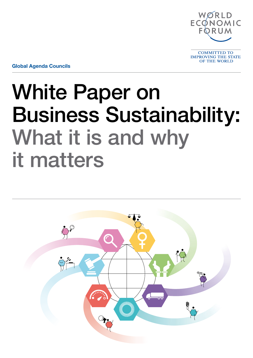

Global Agenda Councils

# White Paper on Business Sustainability: What it is and why it matters

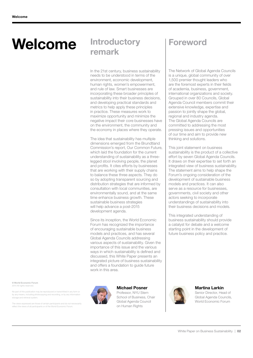## Welcome Introductory

In the 21st century, business sustainability needs to be understood in terms of the environment, economic development, human rights, women's empowerment. and rule of law. Smart businesses are incorporating these broader principles of sustainability into their business decisions, and developing practical standards and metrics to help apply these principles in practice. These measures work to maximize opportunity and minimize the negative impact their core businesses have on the environment, the community and the economy in places where they operate.

The idea that sustainability has multiple dimensions emerged from the Brundtland Commission's report, Our Common Future, which laid the foundation for the current understanding of sustainability as a threelegged stool involving people, the planet and profits. It cites efforts by businesses that are working with their supply chains to balance these three aspects. They do so by adopting transparent sourcing and distribution strategies that are informed by consultation with local communities, are environmentally sound, and at the same time enhance business growth. These sustainable business strategies will help advance a post-2015 development agenda.

Since its inception, the World Economic Forum has recognized the importance of encouraging sustainable business models and practices, and has several Global Agenda Councils addressing various aspects of sustainability. Given the importance of this issue and the various ways in which sustainability is defined and discussed, this White Paper presents an integrated picture of business sustainability and offers a foundation to guide future work in this area.

### Michael Posner

Professor, NYU Stern School of Business, Chair Global Agenda Council on Human Rights

### Foreword

The Network of Global Agenda Councils is a unique, global community of over 1,500 premier thought leaders who are the foremost experts in their fields of academia, business, government, international organizations and society. Grouped in over 80 Councils, Global Agenda Council members commit their extensive knowledge, expertise and passion to jointly shape the global, regional and industry agenda. The Global Agenda Councils are committed to addressing the most pressing issues and opportunities of our time and aim to provide new thinking and solutions.

This joint statement on business sustainability is the product of a collective effort by seven Global Agenda Councils. It draws on their expertise to set forth an integrated view of business sustainability. The statement aims to help shape the Forum's ongoing consideration of the development of sustainable business models and practices. It can also serve as a resource for businesses, governments, civil society and other actors seeking to incorporate understandings of sustainability into their business decisions and models.

This integrated understanding of business sustainability should provide a catalyst for debate and a welcome starting point in the development of future business policy and practice.

#### Martina Larkin Senior Director, Head of Global Agenda Councils, World Economic Forum

© World Economic Forum 2014 All rights reserved.

No part of this publication may be reproduced or transmitted in any form or by any means, including photocopying and recording, or by any information storage and retrieval system.

The views expressed are those of certain participants and do not necessarily reflect the views of all participants or of the World Economic Forum.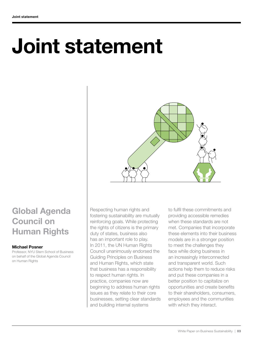# Joint statement



### Global Agenda Council on Human Rights

### Michael Posner

Professor, NYU Stern School of Business on behalf of the Global Agenda Council on Human Rights

Respecting human rights and fostering sustainability are mutually reinforcing goals. While protecting the rights of citizens is the primary duty of states, business also has an important role to play. In 2011, the UN Human Rights Council unanimously endorsed the Guiding Principles on Business and Human Rights, which state that business has a responsibility to respect human rights. In practice, companies now are beginning to address human rights issues as they relate to their core businesses, setting clear standards and building internal systems

to fulfil these commitments and providing accessible remedies when these standards are not met. Companies that incorporate these elements into their business models are in a stronger position to meet the challenges they face while doing business in an increasingly interconnected and transparent world. Such actions help them to reduce risks and put these companies in a better position to capitalize on opportunities and create benefits to their shareholders, consumers, employees and the communities with which they interact.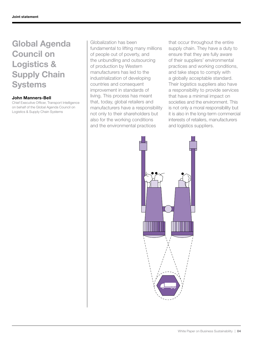## Global Agenda Council on Logistics & Supply Chain **Systems**

### John Manners-Bell

Chief Executive Officer, Transport Intelligence on behalf of the Global Agenda Council on Logistics & Supply Chain Systems

Globalization has been fundamental to lifting many millions of people out of poverty, and the unbundling and outsourcing of production by Western manufacturers has led to the industrialization of developing countries and consequent improvement in standards of living. This process has meant that, today, global retailers and manufacturers have a responsibility not only to their shareholders but also for the working conditions and the environmental practices

that occur throughout the entire supply chain. They have a duty to ensure that they are fully aware of their suppliers' environmental practices and working conditions, and take steps to comply with a globally acceptable standard. Their logistics suppliers also have a responsibility to provide services that have a minimal impact on societies and the environment. This is not only a moral responsibility but it is also in the long-term commercial interests of retailers, manufacturers and logistics suppliers.

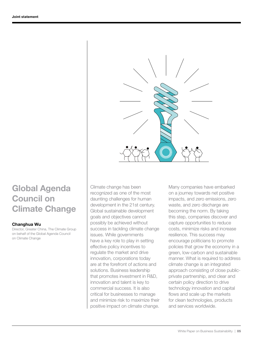

## Global Agenda Council on Climate Change

### Changhua Wu

Director, Greater China, The Climate Group on behalf of the Global Agenda Council on Climate Change

Climate change has been recognized as one of the most daunting challenges for human development in the 21st century. Global sustainable development goals and objectives cannot possibly be achieved without success in tackling climate change issues. While governments have a key role to play in setting effective policy incentives to regulate the market and drive innovation, corporations today are at the forefront of actions and solutions. Business leadership that promotes investment in R&D, innovation and talent is key to commercial success. It is also critical for businesses to manage and minimize risk to maximize their positive impact on climate change. Many companies have embarked on a journey towards net positive impacts, and zero emissions, zero waste, and zero discharge are becoming the norm. By taking this step, companies discover and capture opportunities to reduce costs, minimize risks and increase resilience. This success may encourage politicians to promote policies that grow the economy in a green, low-carbon and sustainable manner. What is required to address climate change is an integrated approach consisting of close publicprivate partnership, and clear and certain policy direction to drive technology innovation and capital flows and scale up the markets for clean technologies, products and services worldwide.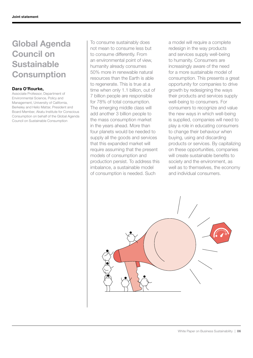## Global Agenda Council on Sustainable **Consumption**

#### Dara O'Rourke,

Associate Professor, Department of Environmental Science, Policy and Management, University of California, Berkeley and Helio Mattar, President and Board Member, Akatu Institute for Conscious Consumption on behalf of the Global Agenda Council on Sustainable Consumption

To consume sustainably does not mean to consume less but to consume differently. From an environmental point of view, humanity already consumes 50% more in renewable natural resources than the Earth is able to regenerate. This is true at a time when only 1.1 billion, out of 7 billion people are responsible for 78% of total consumption. The emerging middle class will add another 3 billion people to the mass consumption market in the years ahead. More than four planets would be needed to supply all the goods and services that this expanded market will require assuming that the present models of consumption and production persist. To address this imbalance, a sustainable model of consumption is needed. Such

a model will require a complete redesign in the way products and services supply well-being to humanity. Consumers are increasingly aware of the need for a more sustainable model of consumption. This presents a great opportunity for companies to drive growth by redesigning the ways their products and services supply well-being to consumers. For consumers to recognize and value the new ways in which well-being is supplied, companies will need to play a role in educating consumers to change their behaviour when buying, using and discarding products or services. By capitalizing on these opportunities, companies will create sustainable benefits to society and the environment, as well as to themselves, the economy and individual consumers.

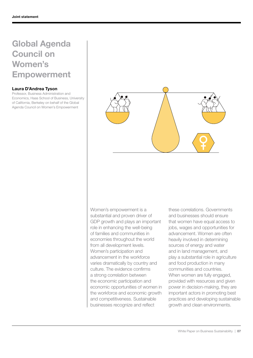## Global Agenda Council on Women's Empowerment

#### Laura D'Andrea Tyson

Professor, Business Administration and Economics, Haas School of Business, University of California, Berkeley on behalf of the Global Agenda Council on Women's Empowerment



Women's empowerment is a substantial and proven driver of GDP growth and plays an important role in enhancing the well-being of families and communities in economies throughout the world from all development levels. Women's participation and advancement in the workforce varies dramatically by country and culture. The evidence confirms a strong correlation between the economic participation and economic opportunities of women in the workforce and economic growth and competitiveness. Sustainable businesses recognize and reflect

these correlations. Governments and businesses should ensure that women have equal access to jobs, wages and opportunities for advancement. Women are often heavily involved in determining sources of energy and water and in land management, and play a substantial role in agriculture and food production in many communities and countries. When women are fully engaged, provided with resources and given power in decision-making, they are important actors in promoting best practices and developing sustainable growth and clean environments.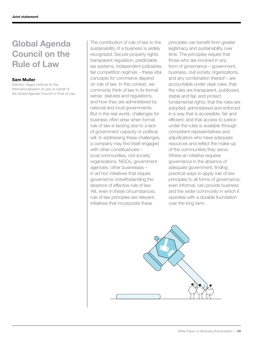## Global Agenda Council on the Rule of Law

#### Sam Muller

Director, Hague Institute for the Internationalisation of Law on behalf of the Global Agenda Council on Rule of Law

The contribution of rule of law to the sustainability of a business is widely recognized. Secure property rights, transparent regulation, predictable tax systems, independent judiciaries, fair competition regimes – these vital concepts for commerce depend on rule of law. In this context, we commonly think of law in its formal sense: statutes and regulations, and how they are administered by national and local governments. But in the real world, challenges for business often arise when formal rule of law is lacking due to a lack of government capacity or political will. In addressing these challenges, a company may find itself engaged with other constituencies local communities, civil society organizations, NGOs, government agencies, other businesses – in ad hoc initiatives that require governance notwithstanding the absence of effective rule of law. Yet, even in these circumstances, rule of law principles are relevant; initiatives that incorporate these

principles can benefit from greater legitimacy and sustainability over time. The principles require that those who are involved in any form of governance – government, business, civil society organizations, and any combination thereof – are accountable under clear rules; that the rules are transparent, publicized, stable and fair, and protect fundamental rights; that the rules are adopted, administered and enforced in a way that is accessible, fair and efficient; and that access to justice under the rules is available through competent representatives and adjudicators who have adequate resources and reflect the make-up of the communities they serve. Where an initiative requires governance in the absence of adequate government, finding practical ways to apply rule of law principles to all forms of governance, even informal, can provide business and the wider community in which it operates with a durable foundation over the long term.

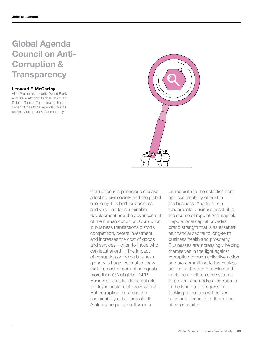## Global Agenda Council on Anti-Corruption & **Transparency**

### Leonard F. McCarthy

Vice-President, Integrity, World Bank and Steve Almond, Global Chairman, Deloitte Touche Tohmatsu Limited on behalf of the Global Agenda Council on Anti-Corruption & Transparency



Corruption is a pernicious disease affecting civil society and the global economy. It is bad for business and very bad for sustainable development and the advancement of the human condition. Corruption in business transactions distorts competition, deters investment and increases the cost of goods and services – often to those who can least afford it. The impact of corruption on doing business globally is huge: estimates show that the cost of corruption equals more than 5% of global GDP. Business has a fundamental role to play in sustainable development. But corruption threatens the sustainability of business itself. A strong corporate culture is a

prerequisite to the establishment and sustainability of trust in the business. And trust is a fundamental business asset; it is the source of reputational capital. Reputational capital provides brand strength that is as essential as financial capital to long-term business health and prosperity. Businesses are increasingly helping themselves in the fight against corruption through collective action and are committing to themselves and to each other to design and implement policies and systems to prevent and address corruption. In the long haul, progress in tackling corruption will deliver substantial benefits to the cause of sustainability.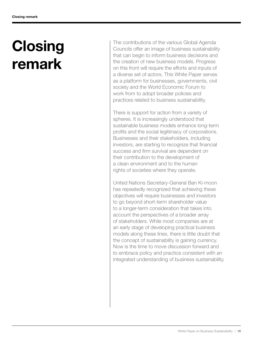## **Closing** remark

The contributions of the various Global Agenda Councils offer an image of business sustainability that can begin to inform business decisions and the creation of new business models. Progress on this front will require the efforts and inputs of a diverse set of actors. This White Paper serves as a platform for businesses, governments, civil society and the World Economic Forum to work from to adopt broader policies and practices related to business sustainability.

There is support for action from a variety of spheres. It is increasingly understood that sustainable business models enhance long-term profits and the social legitimacy of corporations. Businesses and their stakeholders, including investors, are starting to recognize that financial success and firm survival are dependent on their contribution to the development of a clean environment and to the human rights of societies where they operate.

United Nations Secretary-General Ban Ki-moon has repeatedly recognized that achieving these objectives will require businesses and investors to go beyond short-term shareholder value to a longer-term consideration that takes into account the perspectives of a broader array of stakeholders. While most companies are at an early stage of developing practical business models along these lines, there is little doubt that the concept of sustainability is gaining currency. Now is the time to move discussion forward and to embrace policy and practice consistent with an integrated understanding of business sustainability.